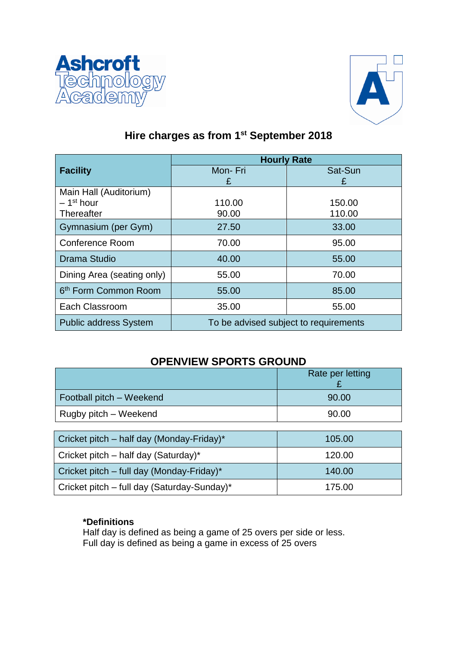



# **Hire charges as from 1st September 2018**

|                                  | <b>Hourly Rate</b>                    |         |
|----------------------------------|---------------------------------------|---------|
| <b>Facility</b>                  | Mon-Fri                               | Sat-Sun |
|                                  | £                                     | £       |
| Main Hall (Auditorium)           |                                       |         |
| $-1st$ hour                      | 110.00                                | 150.00  |
| Thereafter                       | 90.00                                 | 110.00  |
| Gymnasium (per Gym)              | 27.50                                 | 33.00   |
| <b>Conference Room</b>           | 70.00                                 | 95.00   |
| Drama Studio                     | 40.00                                 | 55.00   |
| Dining Area (seating only)       | 55.00                                 | 70.00   |
| 6 <sup>th</sup> Form Common Room | 55.00                                 | 85.00   |
| Each Classroom                   | 35.00                                 | 55.00   |
| <b>Public address System</b>     | To be advised subject to requirements |         |

# **OPENVIEW SPORTS GROUND**

|                          | Rate per letting |
|--------------------------|------------------|
| Football pitch - Weekend | 90.00            |
| Rugby pitch – Weekend    | 90.00            |

| Cricket pitch – half day (Monday-Friday)*   | 105.00 |
|---------------------------------------------|--------|
| Cricket pitch – half day (Saturday)*        | 120.00 |
| Cricket pitch – full day (Monday-Friday)*   | 140.00 |
| Cricket pitch – full day (Saturday-Sunday)* | 175.00 |

# **\*Definitions**

Half day is defined as being a game of 25 overs per side or less. Full day is defined as being a game in excess of 25 overs